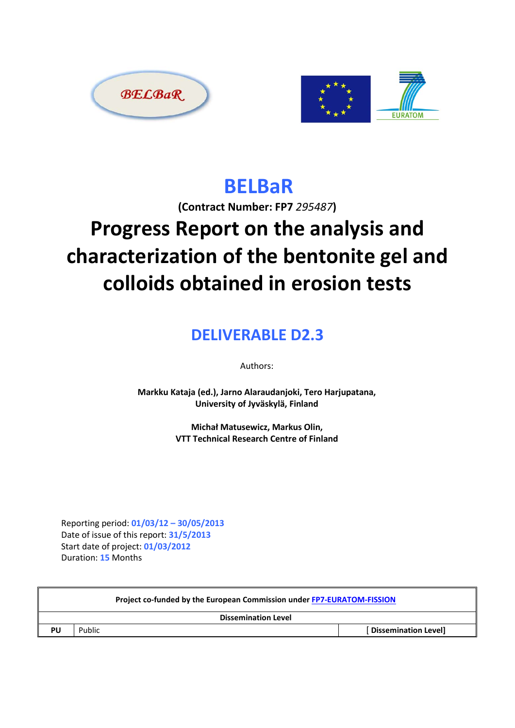



## **BELBaR**

**(Contract Number: FP7** *295487***)**

# **Progress Report on the analysis and characterization of the bentonite gel and colloids obtained in erosion tests**

## **DELIVERABLE D2.3**

Authors:

**Markku Kataja (ed.), Jarno Alaraudanjoki, Tero Harjupatana, University of Jyväskylä, Finland**

> **Michał Matusewicz, Markus Olin, VTT Technical Research Centre of Finland**

Reporting period: **01/03/12 – 30/05/2013** Date of issue of this report: **31/5/2013** Start date of project: **01/03/2012** Duration: **15** Months

| Project co-funded by the European Commission under FP7-EURATOM-FISSION |        |                             |  |
|------------------------------------------------------------------------|--------|-----------------------------|--|
| <b>Dissemination Level</b>                                             |        |                             |  |
| PU                                                                     | Public | <b>Dissemination Levell</b> |  |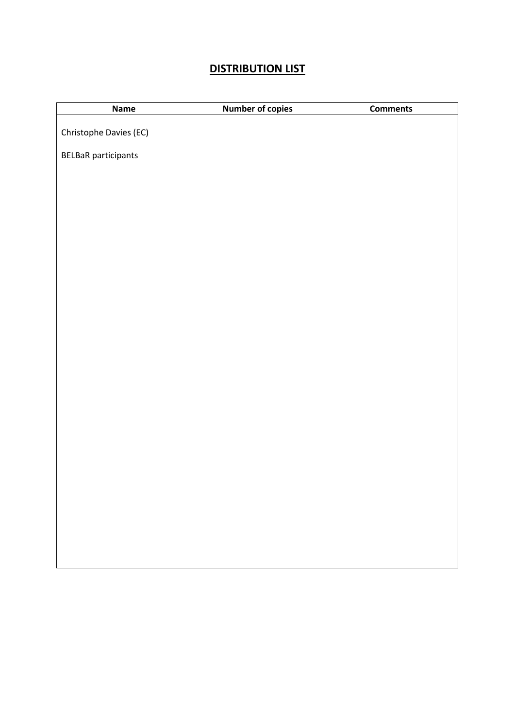#### **DISTRIBUTION LIST**

| Name                       | <b>Number of copies</b> | <b>Comments</b> |
|----------------------------|-------------------------|-----------------|
| Christophe Davies (EC)     |                         |                 |
|                            |                         |                 |
| <b>BELBaR</b> participants |                         |                 |
|                            |                         |                 |
|                            |                         |                 |
|                            |                         |                 |
|                            |                         |                 |
|                            |                         |                 |
|                            |                         |                 |
|                            |                         |                 |
|                            |                         |                 |
|                            |                         |                 |
|                            |                         |                 |
|                            |                         |                 |
|                            |                         |                 |
|                            |                         |                 |
|                            |                         |                 |
|                            |                         |                 |
|                            |                         |                 |
|                            |                         |                 |
|                            |                         |                 |
|                            |                         |                 |
|                            |                         |                 |
|                            |                         |                 |
|                            |                         |                 |
|                            |                         |                 |
|                            |                         |                 |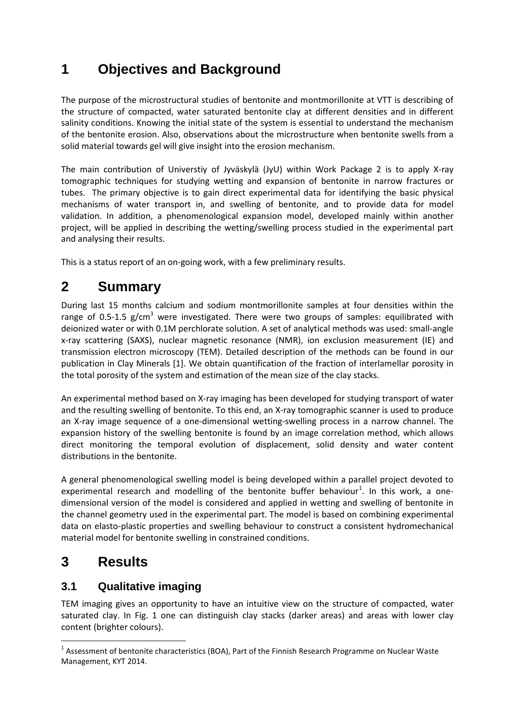## **1 Objectives and Background**

The purpose of the microstructural studies of bentonite and montmorillonite at VTT is describing of the structure of compacted, water saturated bentonite clay at different densities and in different salinity conditions. Knowing the initial state of the system is essential to understand the mechanism of the bentonite erosion. Also, observations about the microstructure when bentonite swells from a solid material towards gel will give insight into the erosion mechanism.

The main contribution of Universtiy of Jyväskylä (JyU) within Work Package 2 is to apply X-ray tomographic techniques for studying wetting and expansion of bentonite in narrow fractures or tubes. The primary objective is to gain direct experimental data for identifying the basic physical mechanisms of water transport in, and swelling of bentonite, and to provide data for model validation. In addition, a phenomenological expansion model, developed mainly within another project, will be applied in describing the wetting/swelling process studied in the experimental part and analysing their results.

This is a status report of an on-going work, with a few preliminary results.

## **2 Summary**

During last 15 months calcium and sodium montmorillonite samples at four densities within the range of 0.5-1.5  $g/cm<sup>3</sup>$  were investigated. There were two groups of samples: equilibrated with deionized water or with 0.1M perchlorate solution. A set of analytical methods was used: small-angle x-ray scattering (SAXS), nuclear magnetic resonance (NMR), ion exclusion measurement (IE) and transmission electron microscopy (TEM). Detailed description of the methods can be found in our publication in Clay Minerals [1]. We obtain quantification of the fraction of interlamellar porosity in the total porosity of the system and estimation of the mean size of the clay stacks.

An experimental method based on X-ray imaging has been developed for studying transport of water and the resulting swelling of bentonite. To this end, an X-ray tomographic scanner is used to produce an X-ray image sequence of a one-dimensional wetting-swelling process in a narrow channel. The expansion history of the swelling bentonite is found by an image correlation method, which allows direct monitoring the temporal evolution of displacement, solid density and water content distributions in the bentonite.

A general phenomenological swelling model is being developed within a parallel project devoted to experimental research and modelling of the bentonite buffer behaviour<sup>[1](#page-2-0)</sup>. In this work, a onedimensional version of the model is considered and applied in wetting and swelling of bentonite in the channel geometry used in the experimental part. The model is based on combining experimental data on elasto-plastic properties and swelling behaviour to construct a consistent hydromechanical material model for bentonite swelling in constrained conditions.

## **3 Results**

 $\overline{a}$ 

#### **3.1 Qualitative imaging**

TEM imaging gives an opportunity to have an intuitive view on the structure of compacted, water saturated clay. In Fig. 1 one can distinguish clay stacks (darker areas) and areas with lower clay content (brighter colours).

<span id="page-2-0"></span> $1$  Assessment of bentonite characteristics (BOA), Part of the Finnish Research Programme on Nuclear Waste Management, KYT 2014.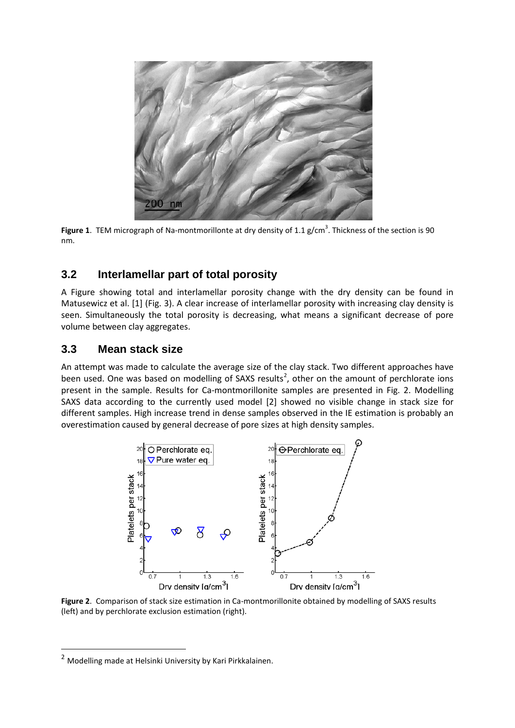

Figure 1. TEM micrograph of Na-montmorillonte at dry density of 1.1 g/cm<sup>3</sup>. Thickness of the section is 90 nm.

#### **3.2 Interlamellar part of total porosity**

A Figure showing total and interlamellar porosity change with the dry density can be found in Matusewicz et al. [1] (Fig. 3). A clear increase of interlamellar porosity with increasing clay density is seen. Simultaneously the total porosity is decreasing, what means a significant decrease of pore volume between clay aggregates.

#### **3.3 Mean stack size**

An attempt was made to calculate the average size of the clay stack. Two different approaches have been used. One was based on modelling of SAXS results<sup>[2](#page-3-0)</sup>, other on the amount of perchlorate ions present in the sample. Results for Ca-montmorillonite samples are presented in Fig. 2. Modelling SAXS data according to the currently used model [2] showed no visible change in stack size for different samples. High increase trend in dense samples observed in the IE estimation is probably an overestimation caused by general decrease of pore sizes at high density samples.



**Figure 2**. Comparison of stack size estimation in Ca-montmorillonite obtained by modelling of SAXS results (left) and by perchlorate exclusion estimation (right).

 $\overline{a}$ 

<span id="page-3-0"></span><sup>2</sup> Modelling made at Helsinki University by Kari Pirkkalainen.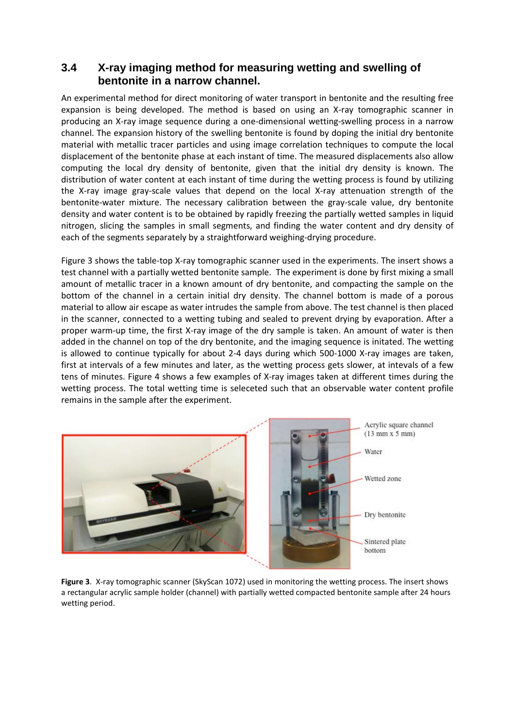#### <span id="page-4-0"></span>**3.4 X-ray imaging method for measuring wetting and swelling of bentonite in a narrow channel.**

An experimental method for direct monitoring of water transport in bentonite and the resulting free expansion is being developed. The method is based on using an X-ray tomographic scanner in producing an X-ray image sequence during a one-dimensional wetting-swelling process in a narrow channel. The expansion history of the swelling bentonite is found by doping the initial dry bentonite material with metallic tracer particles and using image correlation techniques to compute the local displacement of the bentonite phase at each instant of time. The measured displacements also allow computing the local dry density of bentonite, given that the initial dry density is known. The distribution of water content at each instant of time during the wetting process is found by utilizing the X-ray image gray-scale values that depend on the local X-ray attenuation strength of the bentonite-water mixture. The necessary calibration between the gray-scale value, dry bentonite density and water content is to be obtained by rapidly freezing the partially wetted samples in liquid nitrogen, slicing the samples in small segments, and finding the water content and dry density of each of the segments separately by a straightforward weighing-drying procedure.

Figure 3 shows the table-top X-ray tomographic scanner used in the experiments. The insert shows a test channel with a partially wetted bentonite sample. The experiment is done by first mixing a small amount of metallic tracer in a known amount of dry bentonite, and compacting the sample on the bottom of the channel in a certain initial dry density. The channel bottom is made of a porous material to allow air escape as water intrudes the sample from above. The test channel is then placed in the scanner, connected to a wetting tubing and sealed to prevent drying by evaporation. After a proper warm-up time, the first X-ray image of the dry sample is taken. An amount of water is then added in the channel on top of the dry bentonite, and the imaging sequence is initated. The wetting is allowed to continue typically for about 2-4 days during which 500-1000 X-ray images are taken, first at intervals of a few minutes and later, as the wetting process gets slower, at intevals of a few tens of minutes. Figure 4 shows a few examples of X-ray images taken at different times during the wetting process. The total wetting time is seleceted such that an observable water content profile remains in the sample after the experiment.



**Figure 3**. X-ray tomographic scanner (SkyScan 1072) used in monitoring the wetting process. The insert shows a rectangular acrylic sample holder (channel) with partially wetted compacted bentonite sample after 24 hours wetting period.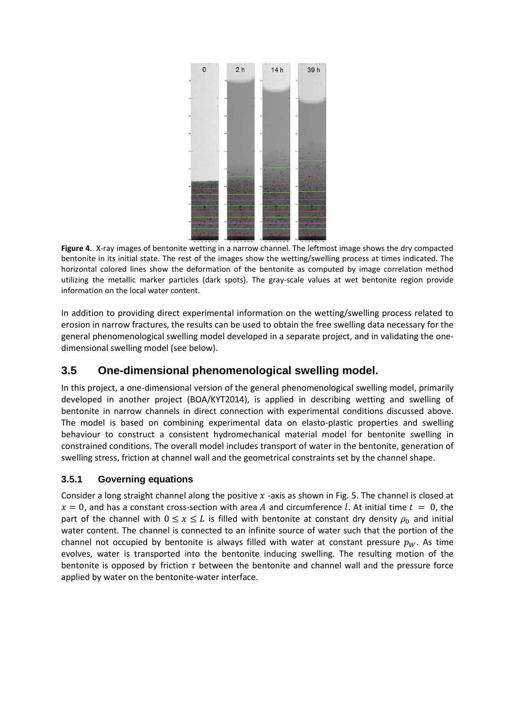

**Figure 4**. X-ray images of bentonite wetting in a narrow channel. The leftmost image shows the dry compacted bentonite in its initial state. The rest of the images show the wetting/swelling process at times indicated. The horizontal colored lines show the deformation of the bentonite as computed by image correlation method utilizing the metallic marker particles (dark spots). The gray-scale values at wet bentonite region provide information on the local water content.

In addition to providing direct experimental information on the wetting/swelling process related to erosion in narrow fractures, the results can be used to obtain the free swelling data necessary for the general phenomenological swelling model developed in a separate project, and in validating the onedimensional swelling model (see below).

#### **3.5 One-dimensional phenomenological swelling model.**

In this project, a one-dimensional version of the general phenomenological swelling model, primarily developed in another project (BOA/KYT2014), is applied in describing wetting and swelling of bentonite in narrow channels in direct connection with experimental conditions discussed above. The model is based on combining experimental data on elasto-plastic properties and swelling behaviour to construct a consistent hydromechanical material model for bentonite swelling in constrained conditions. The overall model includes transport of water in the bentonite, generation of swelling stress, friction at channel wall and the geometrical constraints set by the channel shape.

#### **3.5.1 Governing equations**

Consider a long straight channel along the positive  $x$  -axis as shown in Fig. 5. The channel is closed at  $x = 0$ , and has a constant cross-section with area A and circumference l. At initial time  $t = 0$ , the part of the channel with  $0 \le x \le L$  is filled with bentonite at constant dry density  $\rho_0$  and initial water content. The channel is connected to an infinite source of water such that the portion of the channel not occupied by bentonite is always filled with water at constant pressure  $p_W$ . As time evolves, water is transported into the bentonite inducing swelling. The resulting motion of the bentonite is opposed by friction  $\tau$  between the bentonite and channel wall and the pressure force applied by water on the bentonite-water interface.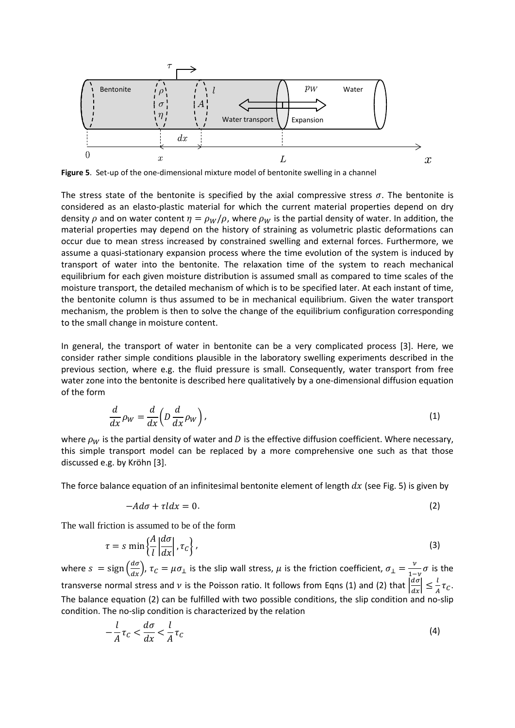

**Figure 5**. Set-up of the one-dimensional mixture model of bentonite swelling in a channel

The stress state of the bentonite is specified by the axial compressive stress  $\sigma$ . The bentonite is considered as an elasto-plastic material for which the current material properties depend on dry density  $\rho$  and on water content  $\eta = \rho_W/\rho$ , where  $\rho_W$  is the partial density of water. In addition, the material properties may depend on the history of straining as volumetric plastic deformations can occur due to mean stress increased by constrained swelling and external forces. Furthermore, we assume a quasi-stationary expansion process where the time evolution of the system is induced by transport of water into the bentonite. The relaxation time of the system to reach mechanical equilibrium for each given moisture distribution is assumed small as compared to time scales of the moisture transport, the detailed mechanism of which is to be specified later. At each instant of time, the bentonite column is thus assumed to be in mechanical equilibrium. Given the water transport mechanism, the problem is then to solve the change of the equilibrium configuration corresponding to the small change in moisture content.

In general, the transport of water in bentonite can be a very complicated process [3]. Here, we consider rather simple conditions plausible in the laboratory swelling experiments described in the previous section, where e.g. the fluid pressure is small. Consequently, water transport from free water zone into the bentonite is described here qualitatively by a one-dimensional diffusion equation of the form

$$
\frac{d}{dx}\rho_W = \frac{d}{dx}\left(D\frac{d}{dx}\rho_W\right),\tag{1}
$$

where  $\rho_W$  is the partial density of water and D is the effective diffusion coefficient. Where necessary, this simple transport model can be replaced by a more comprehensive one such as that those discussed e.g. by Kröhn [3].

The force balance equation of an infinitesimal bentonite element of length  $dx$  (see Fig. 5) is given by

$$
-Ad\sigma + \tau l dx = 0. \tag{2}
$$

The wall friction is assumed to be of the form

$$
\tau = s \min\left\{\frac{A}{l} \left| \frac{d\sigma}{dx} \right|, \tau_c\right\},\tag{3}
$$

where  $s = sign\left(\frac{d\sigma}{dx}\right)$ ,  $\tau_c = \mu \sigma_{\perp}$  is the slip wall stress,  $\mu$  is the friction coefficient,  $\sigma_{\perp} = \frac{\nu}{1-\nu} \sigma$  is the transverse normal stress and  $\nu$  is the Poisson ratio. It follows from Eqns (1) and (2) that  $\left|\frac{d\sigma}{dx}\right| \leq \frac{l}{A}\tau_C$ . The balance equation (2) can be fulfilled with two possible conditions, the slip condition and no-slip condition. The no-slip condition is characterized by the relation

$$
-\frac{l}{A}\tau_C < \frac{d\sigma}{dx} < \frac{l}{A}\tau_C \tag{4}
$$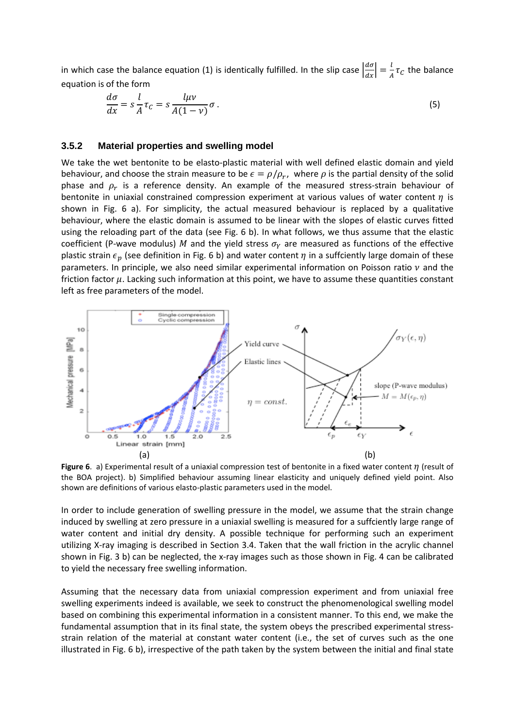in which case the balance equation (1) is identically fulfilled. In the slip case  $\left|\frac{d\sigma}{dx}\right| = \frac{l}{A}\tau_C$  the balance equation is of the form

$$
\frac{d\sigma}{dx} = s \frac{l}{A} \tau_C = s \frac{l\mu\nu}{A(1-\nu)} \sigma.
$$
\n(5)

#### **3.5.2 Material properties and swelling model**

We take the wet bentonite to be elasto-plastic material with well defined elastic domain and yield behaviour, and choose the strain measure to be  $\epsilon = \rho/\rho_r$ , where  $\rho$  is the partial density of the solid phase and  $\rho_r$  is a reference density. An example of the measured stress-strain behaviour of bentonite in uniaxial constrained compression experiment at various values of water content  $\eta$  is shown in Fig. 6 a). For simplicity, the actual measured behaviour is replaced by a qualitative behaviour, where the elastic domain is assumed to be linear with the slopes of elastic curves fitted using the reloading part of the data (see Fig. 6 b). In what follows, we thus assume that the elastic coefficient (P-wave modulus) M and the yield stress  $\sigma_Y$  are measured as functions of the effective plastic strain  $\epsilon_p$  (see definition in Fig. 6 b) and water content  $\eta$  in a suffciently large domain of these parameters. In principle, we also need similar experimental information on Poisson ratio  $\nu$  and the friction factor  $\mu$ . Lacking such information at this point, we have to assume these quantities constant left as free parameters of the model.



**Figure 6.** a) Experimental result of a uniaxial compression test of bentonite in a fixed water content  $\eta$  (result of the BOA project). b) Simplified behaviour assuming linear elasticity and uniquely defined yield point. Also shown are definitions of various elasto-plastic parameters used in the model.

In order to include generation of swelling pressure in the model, we assume that the strain change induced by swelling at zero pressure in a uniaxial swelling is measured for a suffciently large range of water content and initial dry density. A possible technique for performing such an experiment utilizing X-ray imaging is described in Section [3.4.](#page-4-0) Taken that the wall friction in the acrylic channel shown in Fig. 3 b) can be neglected, the x-ray images such as those shown in Fig. 4 can be calibrated to yield the necessary free swelling information.

Assuming that the necessary data from uniaxial compression experiment and from uniaxial free swelling experiments indeed is available, we seek to construct the phenomenological swelling model based on combining this experimental information in a consistent manner. To this end, we make the fundamental assumption that in its final state, the system obeys the prescribed experimental stressstrain relation of the material at constant water content (i.e., the set of curves such as the one illustrated in Fig. 6 b), irrespective of the path taken by the system between the initial and final state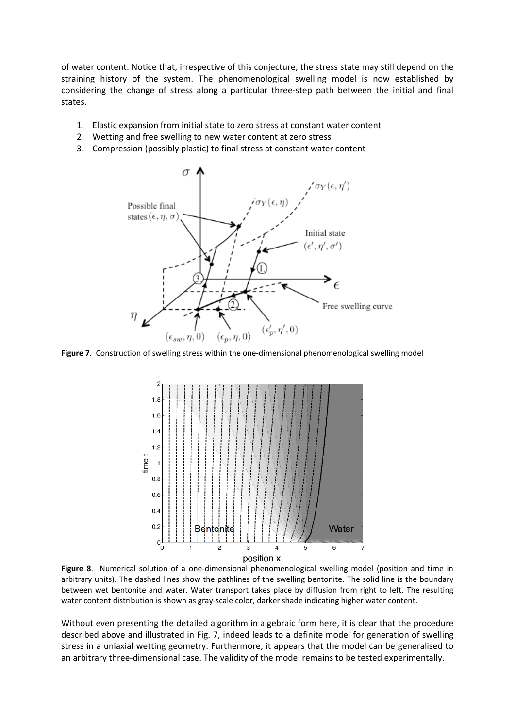of water content. Notice that, irrespective of this conjecture, the stress state may still depend on the straining history of the system. The phenomenological swelling model is now established by considering the change of stress along a particular three-step path between the initial and final states.

- 1. Elastic expansion from initial state to zero stress at constant water content
- 2. Wetting and free swelling to new water content at zero stress
- 3. Compression (possibly plastic) to final stress at constant water content



**Figure 7**. Construction of swelling stress within the one-dimensional phenomenological swelling model



**Figure 8**. Numerical solution of a one-dimensional phenomenological swelling model (position and time in arbitrary units). The dashed lines show the pathlines of the swelling bentonite. The solid line is the boundary between wet bentonite and water. Water transport takes place by diffusion from right to left. The resulting water content distribution is shown as gray-scale color, darker shade indicating higher water content.

Without even presenting the detailed algorithm in algebraic form here, it is clear that the procedure described above and illustrated in Fig. 7, indeed leads to a definite model for generation of swelling stress in a uniaxial wetting geometry. Furthermore, it appears that the model can be generalised to an arbitrary three-dimensional case. The validity of the model remains to be tested experimentally.